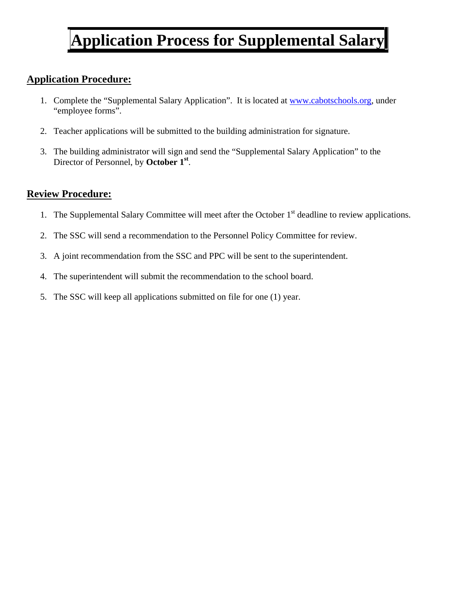# **Application Process for Supplemental Salary**

## **Application Procedure:**

- 1. Complete the "Supplemental Salary Application". It is located at www.cabotschools.org, under "employee forms".
- 2. Teacher applications will be submitted to the building administration for signature.
- 3. The building administrator will sign and send the "Supplemental Salary Application" to the Director of Personnel, by **October 1st**.

## **Review Procedure:**

- 1. The Supplemental Salary Committee will meet after the October  $1<sup>st</sup>$  deadline to review applications.
- 2. The SSC will send a recommendation to the Personnel Policy Committee for review.
- 3. A joint recommendation from the SSC and PPC will be sent to the superintendent.
- 4. The superintendent will submit the recommendation to the school board.
- 5. The SSC will keep all applications submitted on file for one (1) year.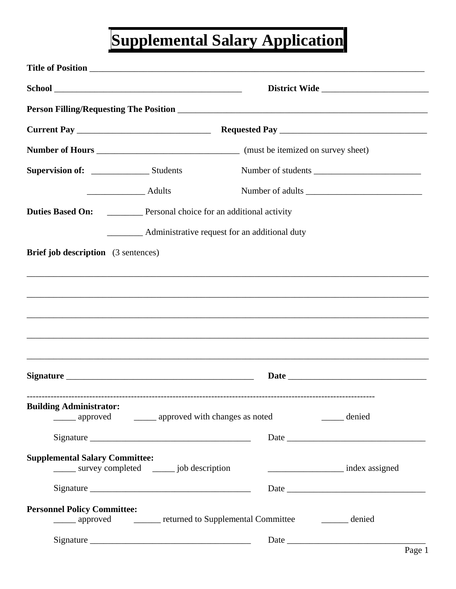# **Supplemental Salary Application**

|                                            |                                                             |                                                                    | District Wide      |
|--------------------------------------------|-------------------------------------------------------------|--------------------------------------------------------------------|--------------------|
|                                            |                                                             |                                                                    |                    |
|                                            |                                                             |                                                                    |                    |
|                                            |                                                             |                                                                    |                    |
|                                            |                                                             |                                                                    | Number of students |
|                                            | Adults                                                      |                                                                    | Number of adults   |
|                                            |                                                             | <b>Duties Based On:</b> Personal choice for an additional activity |                    |
|                                            | ___________ Administrative request for an additional duty   |                                                                    |                    |
| <b>Brief job description</b> (3 sentences) |                                                             |                                                                    |                    |
|                                            |                                                             |                                                                    |                    |
| <b>Building Administrator:</b>             | ______ approved _______ approved with changes as noted      |                                                                    | denied             |
|                                            |                                                             |                                                                    |                    |
| <b>Supplemental Salary Committee:</b>      |                                                             |                                                                    |                    |
|                                            | ______ survey completed ______ job description              |                                                                    | index assigned     |
|                                            |                                                             |                                                                    |                    |
| <b>Personnel Policy Committee:</b>         | ______ approved ________ returned to Supplemental Committee |                                                                    | denied             |
|                                            |                                                             |                                                                    |                    |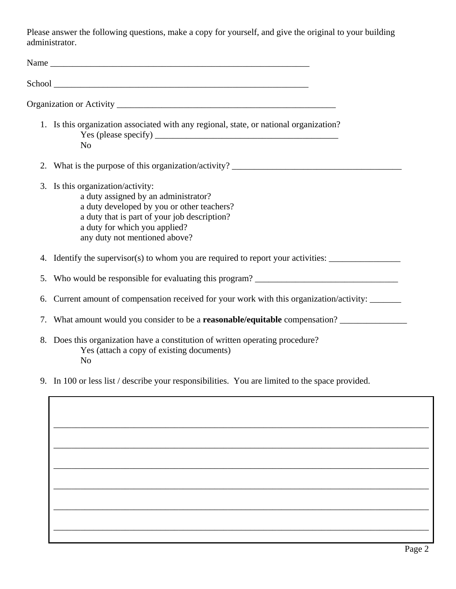Please answer the following questions, make a copy for yourself, and give the original to your building administrator.

|    | 1. Is this organization associated with any regional, state, or national organization?<br>N <sub>o</sub>                                                                                                                                  |
|----|-------------------------------------------------------------------------------------------------------------------------------------------------------------------------------------------------------------------------------------------|
|    | 2. What is the purpose of this organization/activity? ___________________________                                                                                                                                                         |
|    | 3. Is this organization/activity:<br>a duty assigned by an administrator?<br>a duty developed by you or other teachers?<br>a duty that is part of your job description?<br>a duty for which you applied?<br>any duty not mentioned above? |
|    | 4. Identify the supervisor(s) to whom you are required to report your activities: __________________                                                                                                                                      |
| 5. |                                                                                                                                                                                                                                           |
| 6. | Current amount of compensation received for your work with this organization/activity:                                                                                                                                                    |
|    |                                                                                                                                                                                                                                           |
|    | 8. Does this organization have a constitution of written operating procedure?<br>Yes (attach a copy of existing documents)<br>N <sub>0</sub>                                                                                              |
|    | 9. In 100 or less list / describe your responsibilities. You are limited to the space provided.                                                                                                                                           |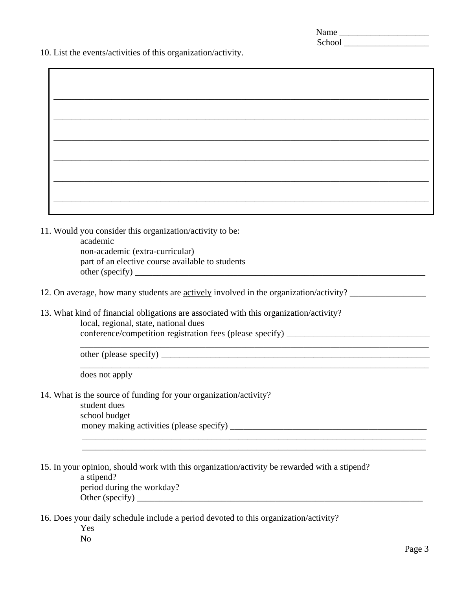| Name   |  |
|--------|--|
| School |  |

10. List the events/activities of this organization/activity.

\_\_\_\_\_\_\_\_\_\_\_\_\_\_\_\_\_\_\_\_\_\_\_\_\_\_\_\_\_\_\_\_\_\_\_\_\_\_\_\_\_\_\_\_\_\_\_\_\_\_\_\_\_\_\_\_\_\_\_\_\_\_\_\_\_\_\_\_\_\_\_\_\_\_\_\_\_\_

\_\_\_\_\_\_\_\_\_\_\_\_\_\_\_\_\_\_\_\_\_\_\_\_\_\_\_\_\_\_\_\_\_\_\_\_\_\_\_\_\_\_\_\_\_\_\_\_\_\_\_\_\_\_\_\_\_\_\_\_\_\_\_\_\_\_\_\_\_\_\_\_\_\_\_\_\_ \_\_\_\_\_\_\_\_\_\_\_\_\_\_\_\_\_\_\_\_\_\_\_\_\_\_\_\_\_\_\_\_\_\_\_\_\_\_\_\_\_\_\_\_\_\_\_\_\_\_\_\_\_\_\_\_\_\_\_\_\_\_\_\_\_\_\_\_\_\_\_\_\_\_\_\_\_

- 11. Would you consider this organization/activity to be: academic non-academic (extra-curricular) part of an elective course available to students  $other (specify)$
- 12. On average, how many students are <u>actively</u> involved in the organization/activity? \_\_\_\_\_\_\_\_\_\_\_\_\_\_\_\_\_\_\_\_\_\_\_\_\_
- 13. What kind of financial obligations are associated with this organization/activity? local, regional, state, national dues conference/competition registration fees (please specify) \_\_\_\_\_\_\_\_\_\_\_\_\_\_\_\_\_\_\_\_\_\_\_\_\_\_\_\_\_\_\_\_

other (please specify) \_\_\_\_\_\_\_\_\_\_\_\_\_\_\_\_\_\_\_\_\_\_\_\_\_\_\_\_\_\_\_\_\_\_\_\_\_\_\_\_\_\_\_\_\_\_\_\_\_\_\_\_\_\_\_\_\_\_\_\_

does not apply

14. What is the source of funding for your organization/activity?

student dues school budget money making activities (please specify) \_\_\_\_\_\_\_\_\_\_\_\_\_\_\_\_\_\_\_\_\_\_\_\_\_\_\_\_\_\_\_\_\_\_\_\_\_\_\_\_\_\_\_\_

15. In your opinion, should work with this organization/activity be rewarded with a stipend?

a stipend? period during the workday? Other (specify) \_\_\_\_\_\_\_\_\_\_\_\_\_\_\_\_\_\_\_\_\_\_\_\_\_\_\_\_\_\_\_\_\_\_\_\_\_\_\_\_\_\_\_\_\_\_\_\_\_\_\_\_\_\_\_\_\_\_\_\_\_\_\_\_

16. Does your daily schedule include a period devoted to this organization/activity?

Yes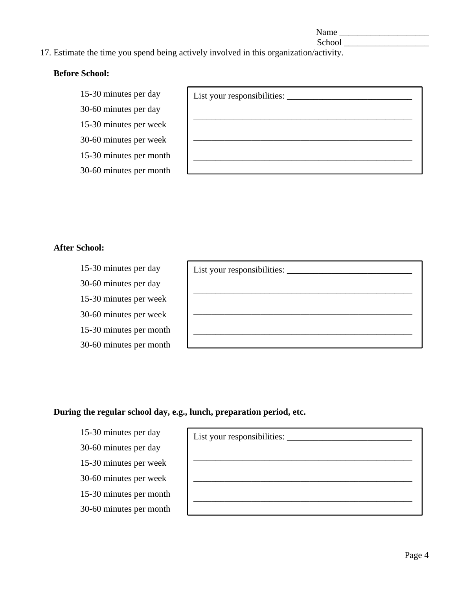Name

School \_\_\_\_\_\_\_\_\_\_\_\_\_\_\_\_\_\_\_

#### 17. Estimate the time you spend being actively involved in this organization/activity.

#### **Before School:**

15-30 minutes per day

30-60 minutes per day 15-30 minutes per week

30-60 minutes per week

15-30 minutes per month

30-60 minutes per month

#### **After School:**

15-30 minutes per day 30-60 minutes per day 15-30 minutes per week 30-60 minutes per week 15-30 minutes per month 30-60 minutes per month

#### **During the regular school day, e.g., lunch, preparation period, etc.**

15-30 minutes per day 30-60 minutes per day 15-30 minutes per week 30-60 minutes per week 15-30 minutes per month 30-60 minutes per month